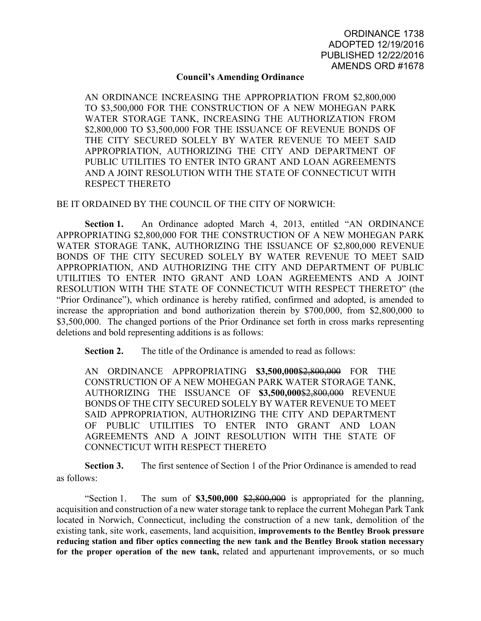## **Council's Amending Ordinance**

AN ORDINANCE INCREASING THE APPROPRIATION FROM \$2,800,000 TO \$3,500,000 FOR THE CONSTRUCTION OF A NEW MOHEGAN PARK WATER STORAGE TANK, INCREASING THE AUTHORIZATION FROM \$2,800,000 TO \$3,500,000 FOR THE ISSUANCE OF REVENUE BONDS OF THE CITY SECURED SOLELY BY WATER REVENUE TO MEET SAID APPROPRIATION, AUTHORIZING THE CITY AND DEPARTMENT OF PUBLIC UTILITIES TO ENTER INTO GRANT AND LOAN AGREEMENTS AND A JOINT RESOLUTION WITH THE STATE OF CONNECTICUT WITH RESPECT THERETO

BE IT ORDAINED BY THE COUNCIL OF THE CITY OF NORWICH:

Section 1. An Ordinance adopted March 4, 2013, entitled "AN ORDINANCE" APPROPRIATING \$2,800,000 FOR THE CONSTRUCTION OF A NEW MOHEGAN PARK WATER STORAGE TANK, AUTHORIZING THE ISSUANCE OF \$2,800,000 REVENUE BONDS OF THE CITY SECURED SOLELY BY WATER REVENUE TO MEET SAID APPROPRIATION, AND AUTHORIZING THE CITY AND DEPARTMENT OF PUBLIC UTILITIES TO ENTER INTO GRANT AND LOAN AGREEMENTS AND A JOINT RESOLUTION WITH THE STATE OF CONNECTICUT WITH RESPECT THERETO" (the "Prior Ordinance"), which ordinance is hereby ratified, confirmed and adopted, is amended to increase the appropriation and bond authorization therein by \$700,000, from \$2,800,000 to \$3,500,000. The changed portions of the Prior Ordinance set forth in cross marks representing deletions and bold representing additions is as follows:

**Section 2.** The title of the Ordinance is amended to read as follows:

AN ORDINANCE APPROPRIATING \$3,500,000\$2,800,000 FOR THE CONSTRUCTION OF A NEW MOHEGAN PARK WATER STORAGE TANK, AUTHORIZING THE ISSUANCE OF **\$3,500,000**\$2,800,000 REVENUE BONDS OF THE CITY SECURED SOLELY BY WATER REVENUE TO MEET SAID APPROPRIATION, AUTHORIZING THE CITY AND DEPARTMENT OF PUBLIC UTILITIES TO ENTER INTO GRANT AND LOAN AGREEMENTS AND A JOINT RESOLUTION WITH THE STATE OF CONNECTICUT WITH RESPECT THERETO

**Section 3.** The first sentence of Section 1 of the Prior Ordinance is amended to read as follows:

"Section 1. The sum of **\$3,500,000** \$2,800,000 is appropriated for the planning, acquisition and construction of a new water storage tank to replace the current Mohegan Park Tank located in Norwich, Connecticut, including the construction of a new tank, demolition of the existing tank, site work, easements, land acquisition, **improvements to the Bentley Brook pressure reducing station and fiber optics connecting the new tank and the Bentley Brook station necessary for the proper operation of the new tank,** related and appurtenant improvements, or so much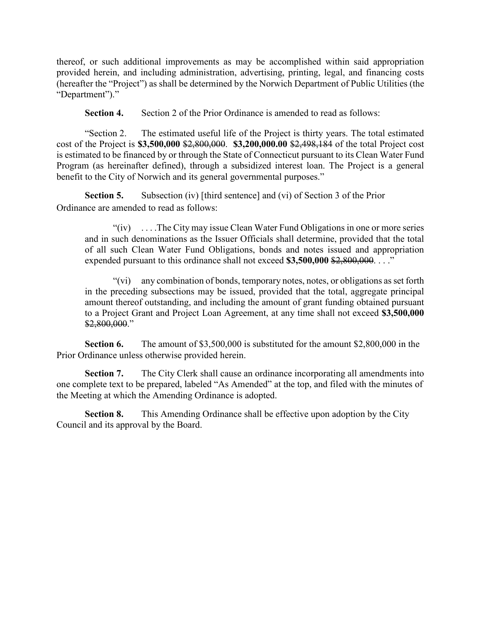thereof, or such additional improvements as may be accomplished within said appropriation provided herein, and including administration, advertising, printing, legal, and financing costs (hereafter the "Project") as shall be determined by the Norwich Department of Public Utilities (the "Department")."

**Section 4.** Section 2 of the Prior Ordinance is amended to read as follows:

"Section 2. The estimated useful life of the Project is thirty years. The total estimated cost of the Project is **\$3,500,000** \$2,800,000. **\$3,200,000.00** \$2,498,184 of the total Project cost is estimated to be financed by or through the State of Connecticut pursuant to its Clean Water Fund Program (as hereinafter defined), through a subsidized interest loan. The Project is a general benefit to the City of Norwich and its general governmental purposes."

 **Section 5.** Subsection (iv) [third sentence] and (vi) of Section 3 of the Prior Ordinance are amended to read as follows:

"(iv) . . . .The City may issue Clean Water Fund Obligations in one or more series and in such denominations as the Issuer Officials shall determine, provided that the total of all such Clean Water Fund Obligations, bonds and notes issued and appropriation expended pursuant to this ordinance shall not exceed \$3,500,000 \$2,800,000. . . ."

"(vi) any combination of bonds, temporary notes, notes, or obligations as set forth in the preceding subsections may be issued, provided that the total, aggregate principal amount thereof outstanding, and including the amount of grant funding obtained pursuant to a Project Grant and Project Loan Agreement, at any time shall not exceed **\$3,500,000** \$2,800,000."

**Section 6.** The amount of \$3,500,000 is substituted for the amount \$2,800,000 in the Prior Ordinance unless otherwise provided herein.

**Section 7.** The City Clerk shall cause an ordinance incorporating all amendments into one complete text to be prepared, labeled "As Amended" at the top, and filed with the minutes of the Meeting at which the Amending Ordinance is adopted.

 **Section 8.** This Amending Ordinance shall be effective upon adoption by the City Council and its approval by the Board.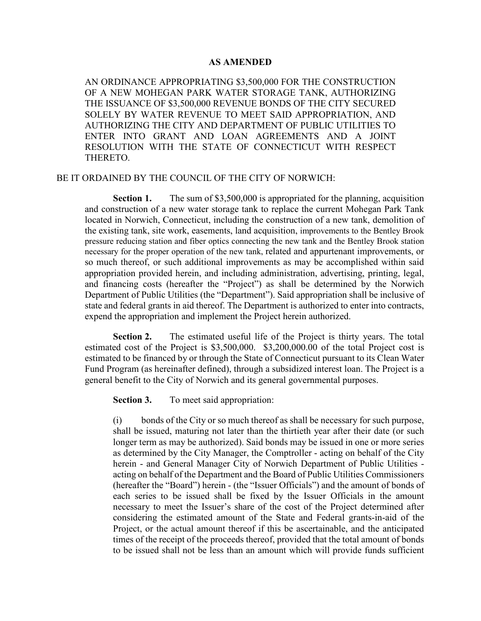## **AS AMENDED**

AN ORDINANCE APPROPRIATING \$3,500,000 FOR THE CONSTRUCTION OF A NEW MOHEGAN PARK WATER STORAGE TANK, AUTHORIZING THE ISSUANCE OF \$3,500,000 REVENUE BONDS OF THE CITY SECURED SOLELY BY WATER REVENUE TO MEET SAID APPROPRIATION, AND AUTHORIZING THE CITY AND DEPARTMENT OF PUBLIC UTILITIES TO ENTER INTO GRANT AND LOAN AGREEMENTS AND A JOINT RESOLUTION WITH THE STATE OF CONNECTICUT WITH RESPECT THERETO.

## BE IT ORDAINED BY THE COUNCIL OF THE CITY OF NORWICH:

**Section 1.** The sum of \$3,500,000 is appropriated for the planning, acquisition and construction of a new water storage tank to replace the current Mohegan Park Tank located in Norwich, Connecticut, including the construction of a new tank, demolition of the existing tank, site work, easements, land acquisition, improvements to the Bentley Brook pressure reducing station and fiber optics connecting the new tank and the Bentley Brook station necessary for the proper operation of the new tank, related and appurtenant improvements, or so much thereof, or such additional improvements as may be accomplished within said appropriation provided herein, and including administration, advertising, printing, legal, and financing costs (hereafter the "Project") as shall be determined by the Norwich Department of Public Utilities (the "Department"). Said appropriation shall be inclusive of state and federal grants in aid thereof. The Department is authorized to enter into contracts, expend the appropriation and implement the Project herein authorized.

**Section 2.** The estimated useful life of the Project is thirty years. The total estimated cost of the Project is \$3,500,000. \$3,200,000.00 of the total Project cost is estimated to be financed by or through the State of Connecticut pursuant to its Clean Water Fund Program (as hereinafter defined), through a subsidized interest loan. The Project is a general benefit to the City of Norwich and its general governmental purposes.

**Section 3.** To meet said appropriation:

(i) bonds of the City or so much thereof as shall be necessary for such purpose, shall be issued, maturing not later than the thirtieth year after their date (or such longer term as may be authorized). Said bonds may be issued in one or more series as determined by the City Manager, the Comptroller - acting on behalf of the City herein - and General Manager City of Norwich Department of Public Utilities acting on behalf of the Department and the Board of Public Utilities Commissioners (hereafter the "Board") herein - (the "Issuer Officials") and the amount of bonds of each series to be issued shall be fixed by the Issuer Officials in the amount necessary to meet the Issuer's share of the cost of the Project determined after considering the estimated amount of the State and Federal grants-in-aid of the Project, or the actual amount thereof if this be ascertainable, and the anticipated times of the receipt of the proceeds thereof, provided that the total amount of bonds to be issued shall not be less than an amount which will provide funds sufficient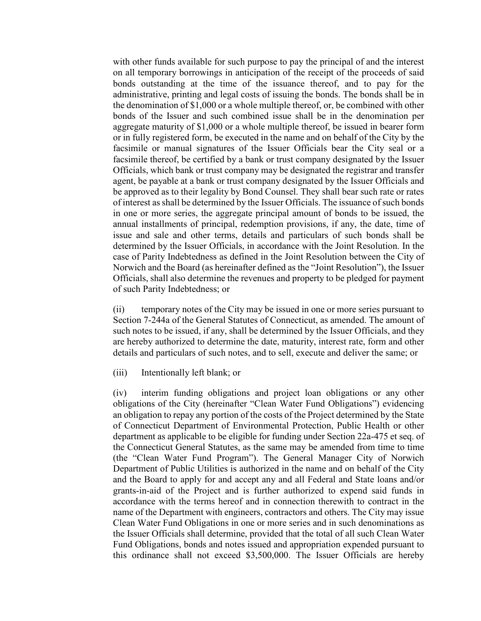with other funds available for such purpose to pay the principal of and the interest on all temporary borrowings in anticipation of the receipt of the proceeds of said bonds outstanding at the time of the issuance thereof, and to pay for the administrative, printing and legal costs of issuing the bonds. The bonds shall be in the denomination of \$1,000 or a whole multiple thereof, or, be combined with other bonds of the Issuer and such combined issue shall be in the denomination per aggregate maturity of \$1,000 or a whole multiple thereof, be issued in bearer form or in fully registered form, be executed in the name and on behalf of the City by the facsimile or manual signatures of the Issuer Officials bear the City seal or a facsimile thereof, be certified by a bank or trust company designated by the Issuer Officials, which bank or trust company may be designated the registrar and transfer agent, be payable at a bank or trust company designated by the Issuer Officials and be approved as to their legality by Bond Counsel. They shall bear such rate or rates of interest as shall be determined by the Issuer Officials. The issuance of such bonds in one or more series, the aggregate principal amount of bonds to be issued, the annual installments of principal, redemption provisions, if any, the date, time of issue and sale and other terms, details and particulars of such bonds shall be determined by the Issuer Officials, in accordance with the Joint Resolution. In the case of Parity Indebtedness as defined in the Joint Resolution between the City of Norwich and the Board (as hereinafter defined as the "Joint Resolution"), the Issuer Officials, shall also determine the revenues and property to be pledged for payment of such Parity Indebtedness; or

(ii) temporary notes of the City may be issued in one or more series pursuant to Section 7-244a of the General Statutes of Connecticut, as amended. The amount of such notes to be issued, if any, shall be determined by the Issuer Officials, and they are hereby authorized to determine the date, maturity, interest rate, form and other details and particulars of such notes, and to sell, execute and deliver the same; or

(iii) Intentionally left blank; or

(iv) interim funding obligations and project loan obligations or any other obligations of the City (hereinafter "Clean Water Fund Obligations") evidencing an obligation to repay any portion of the costs of the Project determined by the State of Connecticut Department of Environmental Protection, Public Health or other department as applicable to be eligible for funding under Section 22a-475 et seq. of the Connecticut General Statutes, as the same may be amended from time to time (the "Clean Water Fund Program"). The General Manager City of Norwich Department of Public Utilities is authorized in the name and on behalf of the City and the Board to apply for and accept any and all Federal and State loans and/or grants-in-aid of the Project and is further authorized to expend said funds in accordance with the terms hereof and in connection therewith to contract in the name of the Department with engineers, contractors and others. The City may issue Clean Water Fund Obligations in one or more series and in such denominations as the Issuer Officials shall determine, provided that the total of all such Clean Water Fund Obligations, bonds and notes issued and appropriation expended pursuant to this ordinance shall not exceed \$3,500,000. The Issuer Officials are hereby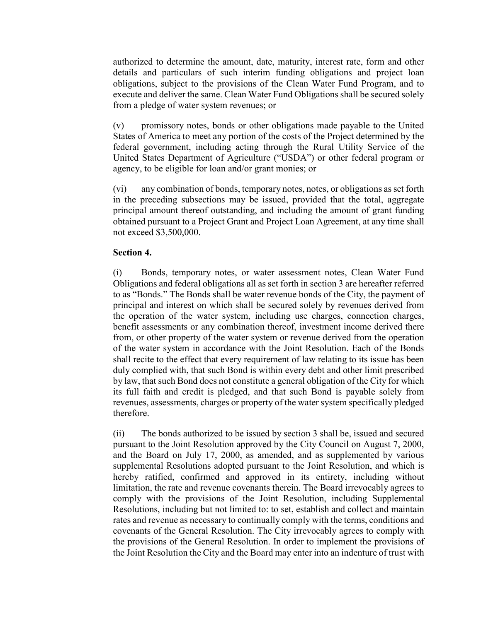authorized to determine the amount, date, maturity, interest rate, form and other details and particulars of such interim funding obligations and project loan obligations, subject to the provisions of the Clean Water Fund Program, and to execute and deliver the same. Clean Water Fund Obligations shall be secured solely from a pledge of water system revenues; or

(v) promissory notes, bonds or other obligations made payable to the United States of America to meet any portion of the costs of the Project determined by the federal government, including acting through the Rural Utility Service of the United States Department of Agriculture ("USDA") or other federal program or agency, to be eligible for loan and/or grant monies; or

(vi) any combination of bonds, temporary notes, notes, or obligations as set forth in the preceding subsections may be issued, provided that the total, aggregate principal amount thereof outstanding, and including the amount of grant funding obtained pursuant to a Project Grant and Project Loan Agreement, at any time shall not exceed \$3,500,000.

## **Section 4.**

(i) Bonds, temporary notes, or water assessment notes, Clean Water Fund Obligations and federal obligations all as set forth in section 3 are hereafter referred to as "Bonds." The Bonds shall be water revenue bonds of the City, the payment of principal and interest on which shall be secured solely by revenues derived from the operation of the water system, including use charges, connection charges, benefit assessments or any combination thereof, investment income derived there from, or other property of the water system or revenue derived from the operation of the water system in accordance with the Joint Resolution. Each of the Bonds shall recite to the effect that every requirement of law relating to its issue has been duly complied with, that such Bond is within every debt and other limit prescribed by law, that such Bond does not constitute a general obligation of the City for which its full faith and credit is pledged, and that such Bond is payable solely from revenues, assessments, charges or property of the water system specifically pledged therefore.

(ii) The bonds authorized to be issued by section 3 shall be, issued and secured pursuant to the Joint Resolution approved by the City Council on August 7, 2000, and the Board on July 17, 2000, as amended, and as supplemented by various supplemental Resolutions adopted pursuant to the Joint Resolution, and which is hereby ratified, confirmed and approved in its entirety, including without limitation, the rate and revenue covenants therein. The Board irrevocably agrees to comply with the provisions of the Joint Resolution, including Supplemental Resolutions, including but not limited to: to set, establish and collect and maintain rates and revenue as necessary to continually comply with the terms, conditions and covenants of the General Resolution. The City irrevocably agrees to comply with the provisions of the General Resolution. In order to implement the provisions of the Joint Resolution the City and the Board may enter into an indenture of trust with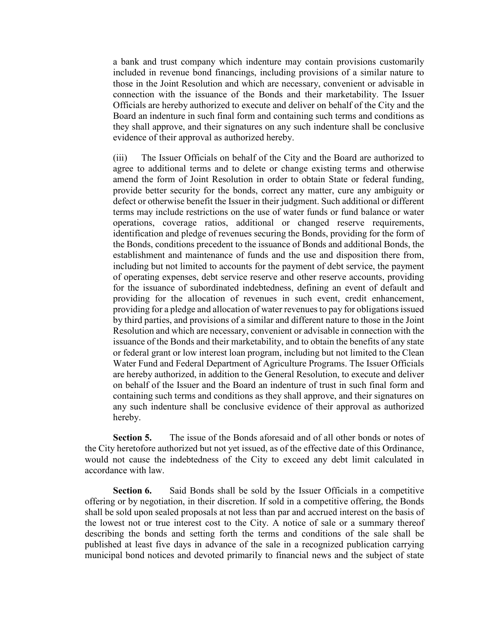a bank and trust company which indenture may contain provisions customarily included in revenue bond financings, including provisions of a similar nature to those in the Joint Resolution and which are necessary, convenient or advisable in connection with the issuance of the Bonds and their marketability. The Issuer Officials are hereby authorized to execute and deliver on behalf of the City and the Board an indenture in such final form and containing such terms and conditions as they shall approve, and their signatures on any such indenture shall be conclusive evidence of their approval as authorized hereby.

(iii) The Issuer Officials on behalf of the City and the Board are authorized to agree to additional terms and to delete or change existing terms and otherwise amend the form of Joint Resolution in order to obtain State or federal funding, provide better security for the bonds, correct any matter, cure any ambiguity or defect or otherwise benefit the Issuer in their judgment. Such additional or different terms may include restrictions on the use of water funds or fund balance or water operations, coverage ratios, additional or changed reserve requirements, identification and pledge of revenues securing the Bonds, providing for the form of the Bonds, conditions precedent to the issuance of Bonds and additional Bonds, the establishment and maintenance of funds and the use and disposition there from, including but not limited to accounts for the payment of debt service, the payment of operating expenses, debt service reserve and other reserve accounts, providing for the issuance of subordinated indebtedness, defining an event of default and providing for the allocation of revenues in such event, credit enhancement, providing for a pledge and allocation of water revenues to pay for obligations issued by third parties, and provisions of a similar and different nature to those in the Joint Resolution and which are necessary, convenient or advisable in connection with the issuance of the Bonds and their marketability, and to obtain the benefits of any state or federal grant or low interest loan program, including but not limited to the Clean Water Fund and Federal Department of Agriculture Programs. The Issuer Officials are hereby authorized, in addition to the General Resolution, to execute and deliver on behalf of the Issuer and the Board an indenture of trust in such final form and containing such terms and conditions as they shall approve, and their signatures on any such indenture shall be conclusive evidence of their approval as authorized hereby.

**Section 5.** The issue of the Bonds aforesaid and of all other bonds or notes of the City heretofore authorized but not yet issued, as of the effective date of this Ordinance, would not cause the indebtedness of the City to exceed any debt limit calculated in accordance with law.

**Section 6.** Said Bonds shall be sold by the Issuer Officials in a competitive offering or by negotiation, in their discretion. If sold in a competitive offering, the Bonds shall be sold upon sealed proposals at not less than par and accrued interest on the basis of the lowest not or true interest cost to the City. A notice of sale or a summary thereof describing the bonds and setting forth the terms and conditions of the sale shall be published at least five days in advance of the sale in a recognized publication carrying municipal bond notices and devoted primarily to financial news and the subject of state